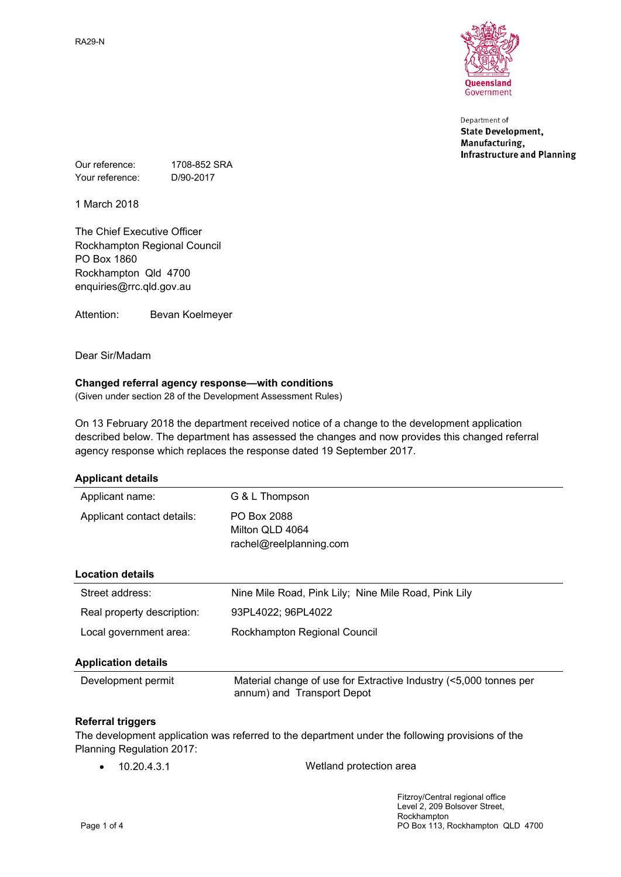RA29-N



Department of **State Development,** Manufacturing, **Infrastructure and Planning** 

Our reference: 1708-852 SRA Your reference: D/90-2017

1 March 2018

The Chief Executive Officer Rockhampton Regional Council PO Box 1860 Rockhampton Qld 4700 enquiries@rrc.qld.gov.au

Attention: Bevan Koelmeyer

Dear Sir/Madam

### **Changed referral agency response—with conditions**

(Given under section 28 of the Development Assessment Rules)

On 13 February 2018 the department received notice of a change to the development application described below. The department has assessed the changes and now provides this changed referral agency response which replaces the response dated 19 September 2017.

| <b>Applicant details</b>   |                                                                                                 |
|----------------------------|-------------------------------------------------------------------------------------------------|
| Applicant name:            | G & L Thompson                                                                                  |
| Applicant contact details: | PO Box 2088<br>Milton OLD 4064<br>rachel@reelplanning.com                                       |
| <b>Location details</b>    |                                                                                                 |
| Street address:            | Nine Mile Road, Pink Lily; Nine Mile Road, Pink Lily                                            |
| Real property description: | 93PL4022; 96PL4022                                                                              |
| Local government area:     | Rockhampton Regional Council                                                                    |
| <b>Application details</b> |                                                                                                 |
| Development permit         | Material change of use for Extractive Industry (<5,000 tonnes per<br>annum) and Transport Depot |

### **Referral triggers**

The development application was referred to the department under the following provisions of the Planning Regulation 2017:

10.20.4.3.1 Wetland protection area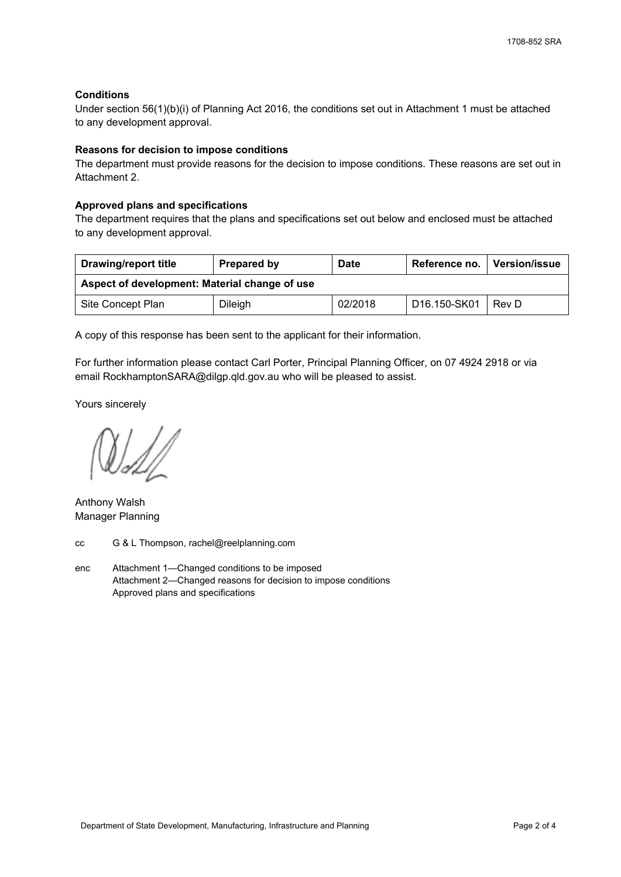## **Conditions**

Under section 56(1)(b)(i) of Planning Act 2016, the conditions set out in Attachment 1 must be attached to any development approval.

### **Reasons for decision to impose conditions**

The department must provide reasons for the decision to impose conditions. These reasons are set out in Attachment 2.

### **Approved plans and specifications**

The department requires that the plans and specifications set out below and enclosed must be attached to any development approval.

| <b>Drawing/report title</b>                   | Prepared by | <b>Date</b> | Reference no.             | <b>Version/issue</b> |
|-----------------------------------------------|-------------|-------------|---------------------------|----------------------|
| Aspect of development: Material change of use |             |             |                           |                      |
| Site Concept Plan                             | Dileigh     | 02/2018     | D <sub>16.150</sub> -SK01 | Rev D                |

A copy of this response has been sent to the applicant for their information.

For further information please contact Carl Porter, Principal Planning Officer, on 07 4924 2918 or via email RockhamptonSARA@dilgp.qld.gov.au who will be pleased to assist.

Yours sincerely

Anthony Walsh Manager Planning

cc G & L Thompson, rachel@reelplanning.com

enc Attachment 1—Changed conditions to be imposed Attachment 2—Changed reasons for decision to impose conditions Approved plans and specifications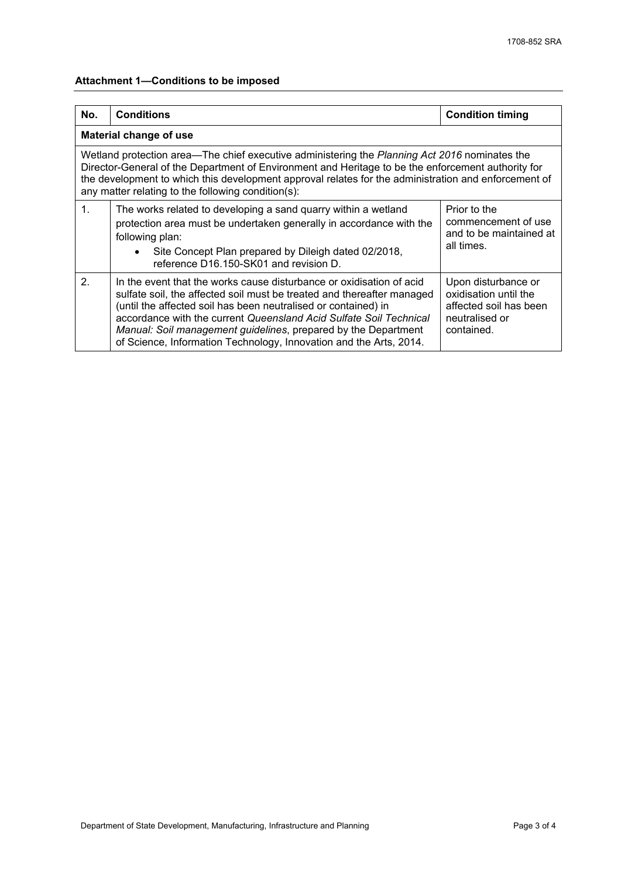# **Attachment 1—Conditions to be imposed**

| No.                                                                                                                                                                                                                                                                                                                                                               | <b>Conditions</b>                                                                                                                                                                                                                                                                                                                                                                                                              | <b>Condition timing</b>                                                                                |  |  |  |
|-------------------------------------------------------------------------------------------------------------------------------------------------------------------------------------------------------------------------------------------------------------------------------------------------------------------------------------------------------------------|--------------------------------------------------------------------------------------------------------------------------------------------------------------------------------------------------------------------------------------------------------------------------------------------------------------------------------------------------------------------------------------------------------------------------------|--------------------------------------------------------------------------------------------------------|--|--|--|
|                                                                                                                                                                                                                                                                                                                                                                   | Material change of use                                                                                                                                                                                                                                                                                                                                                                                                         |                                                                                                        |  |  |  |
| Wetland protection area—The chief executive administering the Planning Act 2016 nominates the<br>Director-General of the Department of Environment and Heritage to be the enforcement authority for<br>the development to which this development approval relates for the administration and enforcement of<br>any matter relating to the following condition(s): |                                                                                                                                                                                                                                                                                                                                                                                                                                |                                                                                                        |  |  |  |
| $\mathbf{1}$ .                                                                                                                                                                                                                                                                                                                                                    | The works related to developing a sand quarry within a wetland<br>protection area must be undertaken generally in accordance with the<br>following plan:<br>Site Concept Plan prepared by Dileigh dated 02/2018,<br>$\bullet$<br>reference D16.150-SK01 and revision D.                                                                                                                                                        | Prior to the<br>commencement of use<br>and to be maintained at<br>all times.                           |  |  |  |
| $\mathcal{P}$                                                                                                                                                                                                                                                                                                                                                     | In the event that the works cause disturbance or oxidisation of acid<br>sulfate soil, the affected soil must be treated and thereafter managed<br>(until the affected soil has been neutralised or contained) in<br>accordance with the current Queensland Acid Sulfate Soil Technical<br>Manual: Soil management guidelines, prepared by the Department<br>of Science, Information Technology, Innovation and the Arts, 2014. | Upon disturbance or<br>oxidisation until the<br>affected soil has been<br>neutralised or<br>contained. |  |  |  |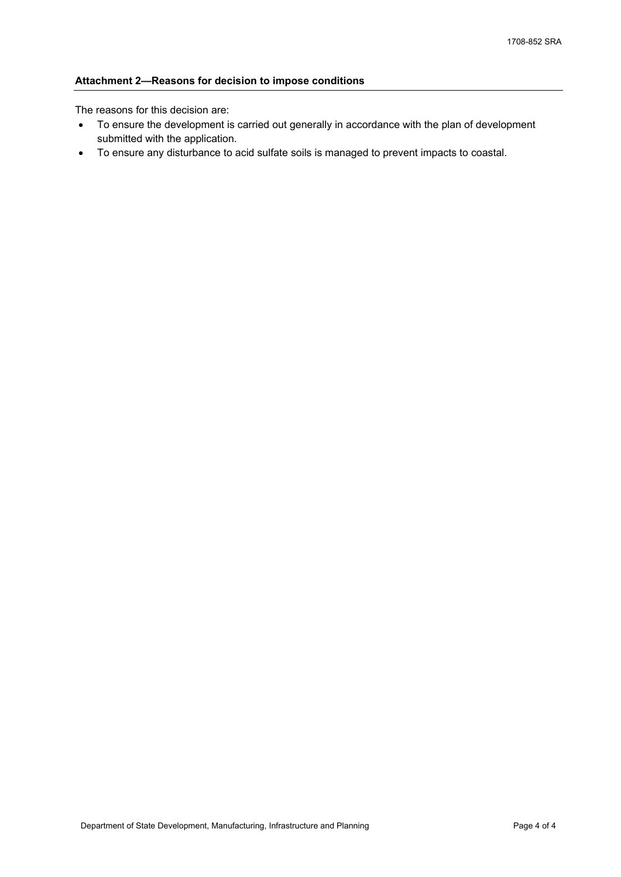# **Attachment 2—Reasons for decision to impose conditions**

The reasons for this decision are:

- To ensure the development is carried out generally in accordance with the plan of development submitted with the application.
- To ensure any disturbance to acid sulfate soils is managed to prevent impacts to coastal.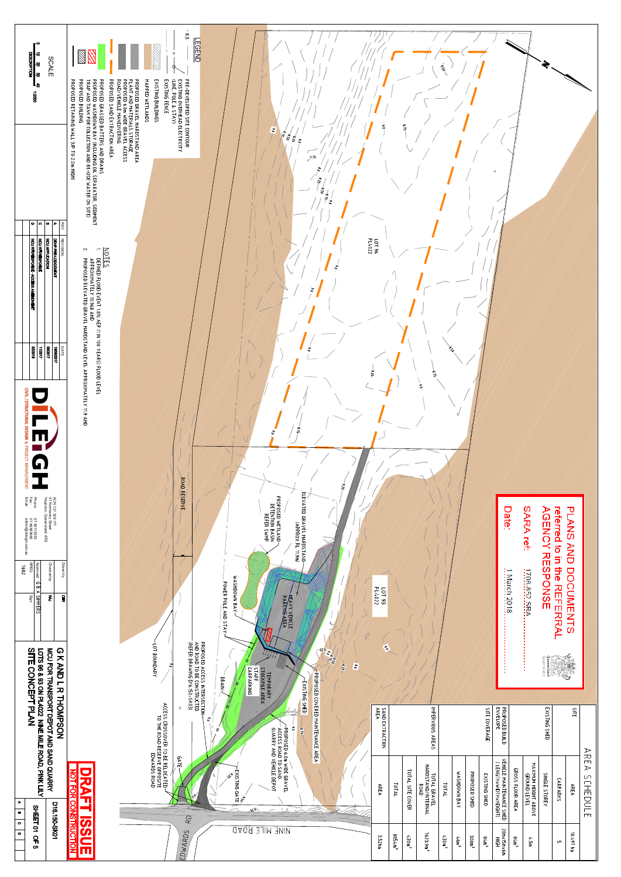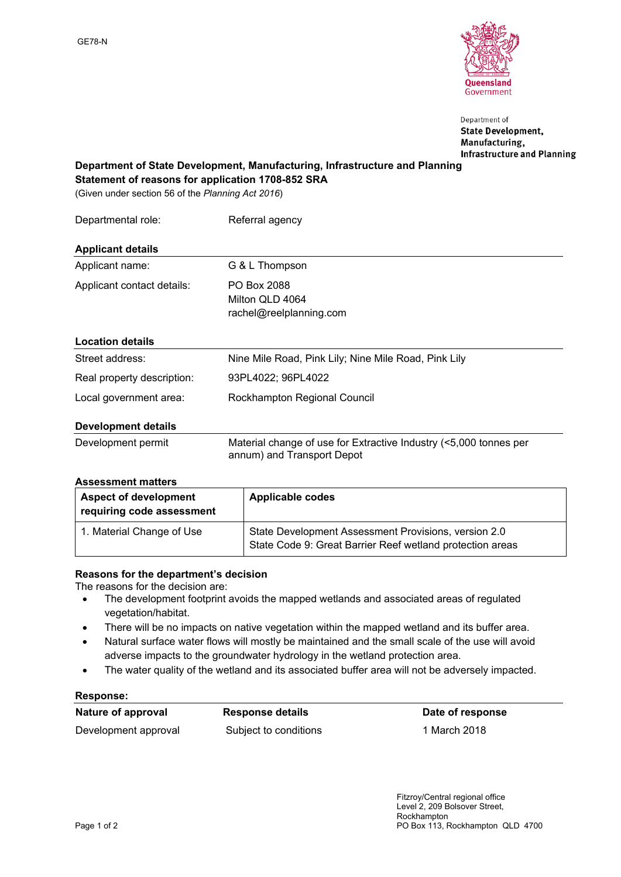

Department of **State Development,** Manufacturing, **Infrastructure and Planning** 

# **Department of State Development, Manufacturing, Infrastructure and Planning**

**Statement of reasons for application 1708-852 SRA**

(Given under section 56 of the *Planning Act 2016*)

| Departmental role:         | Referral agency                                           |
|----------------------------|-----------------------------------------------------------|
| <b>Applicant details</b>   |                                                           |
| Applicant name:            | G & L Thompson                                            |
| Applicant contact details: | PO Box 2088<br>Milton QLD 4064<br>rachel@reelplanning.com |
| <b>Location details</b>    |                                                           |
| Street address:            | Nine Mile Road, Pink Lily; Nine Mile Road, Pink Lily      |
| Real property description: | 93PL4022; 96PL4022                                        |
| Local government area:     | Rockhampton Regional Council                              |

### **Development details**

| Development permit | Material change of use for Extractive Industry (<5,000 tonnes per |
|--------------------|-------------------------------------------------------------------|
|                    | annum) and Transport Depot                                        |

### **Assessment matters**

| <b>Aspect of development</b><br>requiring code assessment | Applicable codes                                                                                                  |
|-----------------------------------------------------------|-------------------------------------------------------------------------------------------------------------------|
| 1. Material Change of Use                                 | State Development Assessment Provisions, version 2.0<br>State Code 9: Great Barrier Reef wetland protection areas |

### **Reasons for the department's decision**

The reasons for the decision are:

- The development footprint avoids the mapped wetlands and associated areas of regulated vegetation/habitat.
- There will be no impacts on native vegetation within the mapped wetland and its buffer area.
- Natural surface water flows will mostly be maintained and the small scale of the use will avoid adverse impacts to the groundwater hydrology in the wetland protection area.
- The water quality of the wetland and its associated buffer area will not be adversely impacted.

### **Response:**

Development approval Subject to conditions 1 March 2018

 **Nature of approval Response details Date of response**